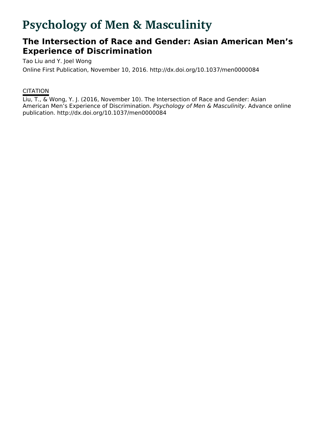# **Psychology of Men & Masculinity**

## **The Intersection of Race and Gender: Asian American Men's Experience of Discrimination**

Tao Liu and Y. Joel Wong

Online First Publication, November 10, 2016. http://dx.doi.org/10.1037/men0000084

### **CITATION**

Liu, T., & Wong, Y. J. (2016, November 10). The Intersection of Race and Gender: Asian American Men's Experience of Discrimination. Psychology of Men & Masculinity. Advance online publication. http://dx.doi.org/10.1037/men0000084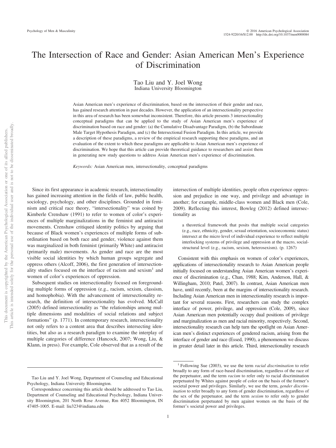### The Intersection of Race and Gender: Asian American Men's Experience of Discrimination

Tao Liu and Y. Joel Wong Indiana University Bloomington

Asian American men's experience of discrimination, based on the intersection of their gender and race, has gained research attention in past decades. However, the application of an intersectionality perspective in this area of research has been somewhat inconsistent. Therefore, this article presents 3 intersectionality conceptual paradigms that can be applied to the study of Asian American men's experience of discrimination based on race and gender: (a) the Cumulative Disadvantage Paradigm, (b) the Subordinate Male Target Hypothesis Paradigm, and (c) the Intersectional Fusion Paradigm. In this article, we provide a description of these paradigms, a review of the empirical research supporting these paradigms, and an evaluation of the extent to which these paradigms are applicable to Asian American men's experience of discrimination. We hope that this article can provide theoretical guidance to researchers and assist them in generating new study questions to address Asian American men's experience of discrimination.

*Keywords:* Asian American men, intersectionality, conceptual paradigms

Since its first appearance in academic research, intersectionality has gained increasing attention in the fields of law, public health, sociology, psychology, and other disciplines. Grounded in feminism and critical race theory, "intersectionality" was coined by Kimberle Crenshaw (1991) to refer to women of color's experiences of multiple marginalizations in the feminist and antiracist movements. Crenshaw critiqued identity politics by arguing that because of Black women's experiences of multiple forms of subordination based on both race and gender, violence against them was marginalized in both feminist (primarily White) and antiracist (primarily male) movements. As gender and race are the most visible social identities by which human groups segregate and oppress others (Alcoff, 2006), the first generation of intersectionality studies focused on the interface of racism and sexism<sup>1</sup> and women of color's experiences of oppression.

Subsequent studies on intersectionality focused on foregrounding multiple forms of oppression (e.g., racism, sexism, classism, and homophobia). With the advancement of intersectionality research, the definition of intersectionality has evolved. McCall (2005) defined intersectionality as "the relationships among multiple dimensions and modalities of social relations and subject formations" (p. 1771). In contemporary research, intersectionality not only refers to a content area that describes intersecting identities, but also as a research paradigm to examine the interplay of multiple categories of difference (Hancock, 2007; Wong, Liu, & Klann, in press). For example, Cole observed that as a result of the intersection of multiple identities, people often experience oppression and prejudice in one way, and privilege and advantage in another; for example, middle-class women and Black men (Cole, 2009). Reflecting this interest, Bowleg (2012) defined intersectionality as

a theoretical framework that posits that multiple social categories (e.g., race, ethnicity, gender, sexual orientation, socioeconomic status) intersect at the micro level of individual experience to reflect multiple interlocking systems of privilege and oppression at the macro, socialstructural level (e.g., racism, sexism, heterosexism). (p. 1267)

Consistent with this emphasis on women of color's experiences, applications of intersectionality research to Asian American people initially focused on understanding Asian American women's experience of discrimination (e.g., Chan, 1988; Kim, Anderson, Hall, & Willingham, 2010; Patel, 2007). In contrast, Asian American men have, until recently, been at the margins of intersectionality research. Including Asian American men in intersectionality research is important for several reasons. First, researchers can study the complex interface of power, privilege, and oppression (Cole, 2009), since Asian American men potentially occupy dual positions of privilege and marginalization as men and racial minority, respectively. Second, intersectionality research can help turn the spotlight on Asian American men's distinct experiences of gendered racism, arising from the interface of gender and race (Essed, 1990), a phenomenon we discuss in greater detail later in this article. Third, intersectionality research

Tao Liu and Y. Joel Wong, Department of Counseling and Educational Psychology, Indiana University Bloomington.

Correspondence concerning this article should be addressed to Tao Liu, Department of Counseling and Educational Psychology, Indiana University Bloomington, 201 North Rose Avenue, Rm 4052 Bloomington, IN 47405-1005. E-mail: liu323@indiana.edu

<sup>1</sup> Following Sue (2003), we use the term *racial discrimination* to refer broadly to any form of race-based discrimination, regardless of the race of the perpetuator, and the term *racism* to refer only to racial discrimination perpetuated by Whites against people of color on the basis of the former's societal power and privileges. Similarly, we use the term, *gender discrimination* to refer broadly to any form of gender discrimination, regardless of the sex of the perpetuator, and the term *sexism* to refer only to gender discrimination perpetuated by men against women on the basis of the former's societal power and privileges.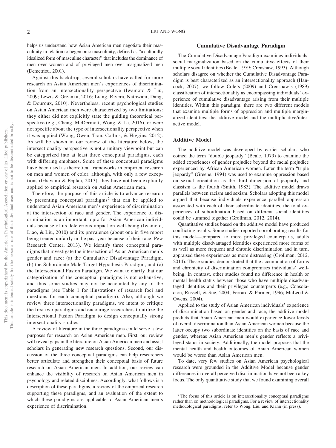helps us understand how Asian American men negotiate their masculinity in relation to hegemonic masculinity, defined as "a culturally idealized form of masculine character" that includes the dominance of men over women and of privileged men over marginalized men (Demetriou, 2001).

Against this backdrop, several scholars have called for more research on Asian American men's experiences of discrimination from an intersectionality perspective (Iwamoto & Liu, 2009; Lewis & Grzanka, 2016; Liang, Rivera, Nathwani, Dang, & Douroux, 2010). Nevertheless, recent psychological studies on Asian American men were characterized by two limitations: they either did not explicitly state the guiding theoretical perspective (e.g., Cheng, McDermott, Wong, & La, 2016), or were not specific about the type of intersectionality perspective when it was applied (Wong, Owen, Tran, Collins, & Higgins, 2012). As will be shown in our review of the literature below, the intersectionality perspective is not a unitary viewpoint but can be categorized into at least three conceptual paradigms, each with differing emphases. Some of these conceptual paradigms have been used as theoretical frameworks in empirical research on men and women of color, although, with only a few exceptions (Ghavami & Peplau, 2013), they have not been explicitly applied to empirical research on Asian American men.

Therefore, the purpose of this article is to advance research by presenting conceptual paradigms<sup>2</sup> that can be applied to understand Asian American men's experience of discrimination at the intersection of race and gender. The experience of discrimination is an important topic for Asian American individuals because of its deleterious impact on well-being (Iwamoto, Liao, & Liu, 2010) and its prevalence (about one in five report being treated unfairly in the past year because of their race; Pew Research Center, 2013). We identify three conceptual paradigms that investigate the intersection of Asian American men's gender and race: (a) the Cumulative Disadvantage Paradigm, (b) the Subordinate Male Target Hypothesis Paradigm, and (c) the Intersectional Fusion Paradigm. We want to clarify that our categorization of the conceptual paradigms is not exhaustive, and thus some studies may not be accounted by any of the paradigms (see Table 1 for illustrations of research foci and questions for each conceptual paradigm). Also, although we review three intersectionality paradigms, we intent to critique the first two paradigms and encourage researchers to utilize the Intersectional Fusion Paradigm to design conceptually strong intersectionality studies.

A review of literature in the three paradigms could serve a few purposes for research on Asian American men. First, our review will reveal gaps in the literature on Asian American men and assist scholars in generating new research questions. Second, our discussion of the three conceptual paradigms can help researchers better articulate and strengthen their conceptual basis of future research on Asian American men. In addition, our review can enhance the visibility of research on Asian American men in psychology and related disciplines. Accordingly, what follows is a description of these paradigms, a review of the empirical research supporting these paradigms, and an evaluation of the extent to which these paradigms are applicable to Asian American men's experience of discrimination.

#### **Cumulative Disadvantage Paradigm**

The Cumulative Disadvantage Paradigm examines individuals' social marginalization based on the cumulative effects of their multiple social identities (Beale, 1979; Crenshaw, 1993). Although scholars disagree on whether the Cumulative Disadvantage Paradigm is best characterized as an intersectionality approach (Hancock, 2007), we follow Cole's (2009) and Crenshaw's (1989) classification of intersectionality as encompassing individuals' experience of cumulative disadvantage arising from their multiple identities. Within this paradigm, there are two different models that examine multiple forms of oppression and multiple marginalized identities: the additive model and the multiplicative/interactive model.

#### **Additive Model**

The additive model was developed by earlier scholars who coined the term "double jeopardy" (Beale, 1979) to examine the added experiences of gender prejudice beyond the racial prejudice experienced by African American women. Later the term "triple jeopardy" (Greene, 1994) was used to examine oppression based on sexual orientation as the third dimension of jeopardy and classism as the fourth (Smith, 1983). The additive model draws parallels between racism and sexism. Scholars adopting this model argued that because individuals experience parallel oppression associated with each of their subordinate identities, the total experiences of subordination based on different social identities could be summed together (Grollman, 2012, 2014).

Quantitative studies based on the additive model have produced conflicting results. Some studies reported corroborating results for this model— compared to more privileged counterparts, adults with multiple disadvantaged identities experienced more forms of as well as more frequent and chronic discrimination and in turn, appraised these experiences as more distressing (Grollman, 2012, 2014). These studies demonstrated that the accumulation of forms and chronicity of discrimination compromises individuals' wellbeing. In contrast, other studies found no difference in health or mental health status between those who have multiple disadvantaged identities and their privileged counterparts (e.g., Consolacion, Russell, & Sue, 2004; Ferraro & Farmer, 1996; McLeod & Owens, 2004).

Applied to the study of Asian American individuals' experience of discrimination based on gender and race, the additive model predicts that Asian American men would experience lower levels of overall discrimination than Asian American women because the latter occupy two subordinate identities on the basis of race and gender, whereas Asian American men's gender reflects a privileged status in society. Additionally, the model proposes that the mental health and health outcomes of Asian American women would be worse than Asian American men.

To date, very few studies on Asian American psychological research were grounded in the Additive Model because gender differences in overall perceived discrimination have not been a key focus. The only quantitative study that we found examining overall

<sup>&</sup>lt;sup>2</sup> The focus of this article is on intersectionality conceptual paradigms rather than on methodological paradigms. For a review of intersectionality methodological paradigms, refer to Wong, Liu, and Klann (in press).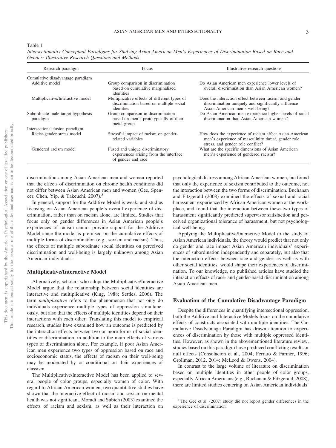Table 1

| Research paradigm                              | Focus                                                                                                 | Illustrative research questions                                                                                                                     |
|------------------------------------------------|-------------------------------------------------------------------------------------------------------|-----------------------------------------------------------------------------------------------------------------------------------------------------|
| Cumulative disadvantage paradigm               |                                                                                                       |                                                                                                                                                     |
| Additive model                                 | Group comparison in discrimination<br>based on cumulative marginalized<br>identities                  | Do Asian American men experience lower levels of<br>overall discrimination than Asian American women?                                               |
| Multiplicative/Interactive model               | Multiplicative effects of different types of<br>discrimination based on multiple social<br>identities | Does the interaction effect between racism and gender<br>discrimination uniquely and significantly influence<br>Asian American men's well-being?    |
| Subordinate male target hypothesis<br>paradigm | Group comparison in discrimination<br>based on men's prototypically of their<br>racial group          | Do Asian American men experience higher levels of racial<br>discrimination than Asian American women?                                               |
| Intersectional fusion paradigm                 |                                                                                                       |                                                                                                                                                     |
| Racist-gender stress model                     | Stressful impact of racism on gender-<br>related variables                                            | How does the experience of racism affect Asian American<br>men's experience of masculinity threat, gender role<br>stress, and gender role conflict? |
| Gendered racism model                          | Fused and unique discriminatory<br>experiences arising from the interface<br>of gender and race       | What are the specific dimensions of Asian American<br>men's experience of gendered racism?                                                          |

*Intersectionality Conceptual Paradigms for Studying Asian American Men's Experiences of Discrimination Based on Race and Gender: Illustrative Research Questions and Methods*

discrimination among Asian American men and women reported that the effects of discrimination on chronic health conditions did not differ between Asian American men and women (Gee, Spencer, Chen, Yip, & Takeuchi, 2007).<sup>3</sup>

In general, support for the Additive Model is weak, and studies focusing on Asian American people's overall experience of discrimination, rather than on racism alone, are limited. Studies that focus only on gender differences in Asian American people's experiences of racism cannot provide support for the Additive Model since the model is premised on the cumulative effects of multiple forms of discrimination (e.g., sexism and racism). Thus, the effects of multiple subordinate social identities on perceived discrimination and well-being is largely unknown among Asian American individuals.

#### **Multiplicative/Interactive Model**

Alternatively, scholars who adopt the Multiplicative/Interactive Model argue that the relationship between social identities are interactive and multiplicative (King, 1988; Settles, 2006). The term *multiplicative* refers to the phenomenon that not only do individuals experience multiple types of oppression simultaneously, but also that the effects of multiple identities depend on their interactions with each other. Translating this model to empirical research, studies have examined how an outcome is predicted by the interaction effects between two or more forms of social identities or discrimination, in addition to the main effects of various types of discrimination alone. For example, if poor Asian American men experience two types of oppression based on race and socioeconomic status, the effects of racism on their well-being may be moderated by or conditional on their experiences of classism.

The Multiplicative/Interactive Model has been applied to several people of color groups, especially women of color. With regard to African American women, two quantitative studies have shown that the interactive effect of racism and sexism on mental health was not significant. Moradi and Subich (2003) examined the effects of racism and sexism, as well as their interaction on

psychological distress among African American women, but found that only the experience of sexism contributed to the outcome, not the interaction between the two forms of discrimination. Buchanan and Fitzgerald (2008) examined the effects of sexual and racial harassment experienced by African American women at the workplace, and found that the interaction between these two types of harassment significantly predicted supervisor satisfaction and perceived organizational tolerance of harassment, but not psychological well-being.

Applying the Multiplicative/Interactive Model to the study of Asian American individuals, the theory would predict that not only do gender and race impact Asian American individuals' experiences of subordination independently and separately, but also that the interaction effects between race and gender, as well as with other social identities, would shape their experiences of discrimination. To our knowledge, no published articles have studied the interaction effects of race- and gender-based discrimination among Asian American men.

#### **Evaluation of the Cumulative Disadvantage Paradigm**

Despite the differences in quantifying intersectional oppression, both the Additive and Interactive Models focus on the cumulative effects of constructs associated with multiple identities. The Cumulative Disadvantage Paradigm has drawn attention to experiences of discrimination by those with multiple oppressed identities. However, as shown in the abovementioned literature review, studies based on this paradigm have produced conflicting results or null effects (Consolacion et al., 2004; Ferraro & Farmer, 1996; Grollman, 2012, 2014; McLeod & Owens, 2004).

In contrast to the large volume of literature on discrimination based on multiple identities in other people of color groups, especially African Americans (e.g., Buchanan & Fitzgerald, 2008), there are limited studies centering on Asian American individuals'

<sup>3</sup> The Gee et al. (2007) study did not report gender differences in the experience of discrimination.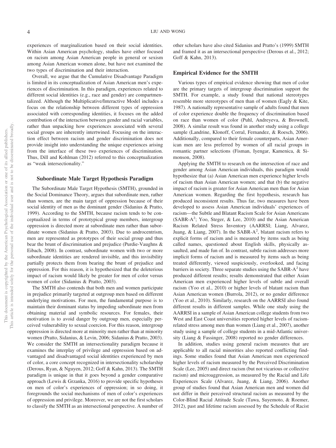experiences of marginalization based on their social identities. Within Asian American psychology, studies have either focused on racism among Asian American people in general or sexism among Asian American women alone, but have not examined the two types of discrimination and their interaction.

Overall, we argue that the Cumulative Disadvantage Paradigm is limited in its conceptualization of Asian American men's experiences of discrimination. In this paradigm, experiences related to different social identities (e.g., race and gender) are compartmentalized. Although the Multiplicative/Interactive Model includes a focus on the relationship between different types of oppression associated with corresponding identities, it focuses on the added contribution of the interaction between gender and racial variables, rather than unpacking how experiences associated with several social groups are inherently intertwined. Focusing on the interaction effect between racism and gender discrimination does not provide insight into understanding the unique experiences arising from the interface of these two experiences of discrimination. Thus, Dill and Kohlman (2012) referred to this conceptualization as "weak intersectionality."

#### **Subordinate Male Target Hypothesis Paradigm**

The Subordinate Male Target Hypothesis (SMTH), grounded in the Social Dominance Theory, argues that subordinate men, rather than women, are the main target of oppression because of their social identity of men as the dominant gender (Sidanius & Pratto, 1999). According to the SMTH, because racism tends to be conceptualized in terms of prototypical group members, intergroup oppression is directed more at subordinate men rather than subordinate women (Sidanius & Pratto, 2003). Due to androcentrism, men are represented as prototypes of their social group and thus bear the brunt of discrimination and prejudice (Purdie-Vaughns & Eibach, 2008). In contrast, subordinate women with two or more subordinate identities are rendered invisible, and this invisibility partially protects them from bearing the brunt of prejudice and oppression. For this reason, it is hypothesized that the deleterious impact of racism would likely be greater for men of color versus women of color (Sidanius & Pratto, 2003).

The SMTH also contends that both men and women participate in prejudice primarily targeted at outgroup men based on different underlying motivations. For men, the fundamental purpose is to maintain their dominant status by impeding subordinate men from obtaining material and symbolic resources. For females, their motivation is to avoid danger by outgroup men, especially perceived vulnerability to sexual coercion. For this reason, intergroup oppression is directed more at minority men rather than at minority women (Pratto, Sidanius, & Levin, 2006; Sidanius & Pratto, 2003). We consider the SMTH an intersectionality paradigm because it examines the interplay of privilege and oppression based on advantaged and disadvantaged social identities experienced by men of color, a core concept recognized in intersectionality scholarship (Derous, Ryan, & Nguyen, 2012; Goff & Kahn, 2013). The SMTH paradigm is unique in that it goes beyond a gender comparative approach (Lewis & Grzanka, 2016) to provide specific hypotheses on men of color's experiences of oppression; in so doing, it foregrounds the social mechanisms of men of color's experiences of oppression and privilege. Moreover, we are not the first scholars to classify the SMTH as an intersectional perspective. A number of other scholars have also cited Sidanius and Pratto's (1999) SMTH and framed it as an intersectional perspective (Derous et al., 2012; Goff & Kahn, 2013).

#### **Empirical Evidence for the SMTH**

Various types of empirical evidence showing that men of color are the primary targets of intergroup discrimination support the SMTH. For example, a study found that national stereotypes resemble more stereotypes of men than of women (Eagly & Kite, 1987). A nationally representative sample of adults found that men of color experience double the frequency of discrimination based on race than women of color (Puhl, Andreyeva, & Brownell, 2008). A similar result was found in another study using a college sample (Landrine, Klonoff, Corral, Fernandez, & Roesch, 2006). Additionally, compared to their female counterparts, Asian American men are less preferred by women of all racial groups in romantic partner selections (Fisman, Iyengar, Kamenica, & Simonson, 2008).

Applying the SMTH to research on the intersection of race and gender among Asian American individuals, this paradigm would hypothesize that (a) Asian American men experience higher levels of racism than Asian American women; and that (b) the negative impact of racism is greater for Asian American men than for Asian American women. Regarding the first hypothesis, research has produced inconsistent results. Thus far, two measures have been developed to assess Asian American individuals' experiences of racism—the Subtle and Blatant Racism Scale for Asian Americans (SABR-A<sup>2</sup>; Yoo, Steger, & Lee, 2010) and the Asian American Racism Related Stress Inventory (AARRSI; Liang, Alvarez, Juang, & Liang, 2007). In the SABR-A<sup>2</sup>, blatant racism refers to explicit forms of racism and is measured by items such as being called names, questioned about English skills, physically assaulted, and made fun of. In contrast, subtle racism addresses more implicit forms of racism and is measured by items such as being treated differently, viewed suspiciously, overlooked, and facing barriers in society. Three separate studies using the  $SABR-A<sup>2</sup>$  have produced different results; results demonstrated that either Asian American men experienced higher levels of subtle and overall racism (Yoo et al., 2010) or higher levels of blatant racism than Asian American women (Burrola, 2012), or no gender difference (Yoo et al., 2010). Similarly, research on the AARRSI also found different results in different samples. While one study using the AARRSI in a sample of Asian American college students from two West and East Coast universities reported higher levels of racismrelated stress among men than women (Liang et al., 2007), another study using a sample of college students in a mid-Atlantic university (Liang & Fassinger, 2008) reported no gender differences.

In addition, studies using general racism measures that are applicable to all racial minorities also reported conflicting findings. Some studies found that Asian American men experienced higher levels of racism measured by the Perceived Discrimination Scale (Lee, 2005) and direct racism (but not vicarious or collective racism) and microaggression, as measured by the Racial and Life Experiences Scale (Alvarez, Juang, & Liang, 2006). Another group of studies found that Asian American men and women did not differ in their perceived structural racism as measured by the Color-Blind Racial Attitude Scale (Tawa, Suyemoto, & Roemer, 2012), past and lifetime racism assessed by the Schedule of Racist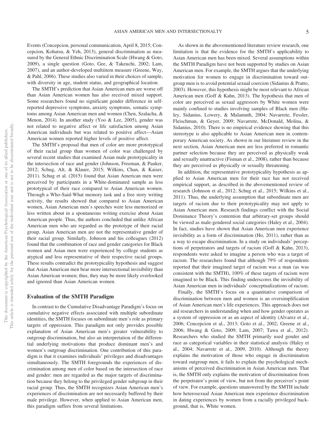Events (Concepcion, personal communication, April 8, 2015; Concepcion, Kohatsu, & Yeh, 2013), general discrimination as measured by the General Ethnic Discrimination Scale (Hwang & Goto, 2009), a single question (Goto, Gee, & Takeuchi, 2002; Lam, 2007), and an author-developed multiitem measure (Greene, Way, & Pahl, 2006). These studies also varied in their choices of sample, with diversity in age, student status, and geographical location.

The SMTH's prediction that Asian American men are worse off than Asian American women has also received mixed support. Some researchers found no significant gender difference in selfreported depressive symptoms, anxiety symptoms, somatic symptoms among Asian American men and women (Chen, Szalacha, & Menon, 2014). In another study (Yoo & Lee, 2005), gender was not related to negative affect or life satisfaction among Asian American individuals but was related to positive affect—Asian American women reported higher levels of positive affect.

The SMTH's proposal that men of color are more prototypical of their racial group than women of color was challenged by several recent studies that examined Asian male prototypicality in the intersection of race and gender (Johnson, Freeman, & Pauker, 2012; Schug, Alt, & Klauer, 2015; Wilkins, Chan, & Kaiser, 2011). Schug et al. (2015) found that Asian American men were perceived by participants in a White-dominated sample as less prototypical of their race compared to Asian American women. Through a Who-Said-What memory task and a free story writing activity, the results showed that compared to Asian American women, Asian American men's speeches were less memorized or less written about in a spontaneous writing exercise about Asian American people. Thus, the authors concluded that unlike African American men who are regarded as the prototype of their racial group, Asian American men are not the representative gender of their racial group. Similarly, Johnson and his colleagues (2012) found that the combination of race and gender categories for Black women and Asian men were experienced by college students as atypical and less representative of their respective racial groups. These results contradict the prototypicality hypothesis and suggest that Asian American men bear more intersectional invisibility than Asian American women; thus, they may be more likely overlooked and ignored than Asian American women.

#### **Evaluation of the SMTH Paradigm**

In contrast to the Cumulative Disadvantage Paradigm's focus on cumulative negative effects associated with multiple subordinate identities, the SMTH focuses on subordinate men's role as primary targets of oppression. This paradigm not only provides possible explanation of Asian American men's greater vulnerability to outgroup discrimination, but also an interpretation of the differential underlying motivations that produce dominant men's and women's outgroup discrimination. One contribution of this paradigm is that it examines individuals' privileges and disadvantages simultaneously. The SMTH foregrounds the experiences of discrimination among men of color based on the intersection of race and gender: men are regarded as the major targets of discrimination because they belong to the privileged gender subgroup in their racial group. Thus, the SMTH recognizes Asian American men's experiences of discrimination are not necessarily buffered by their male privilege. However, when applied to Asian American men, this paradigm suffers from several limitations.

As shown in the abovementioned literature review research, one limitation is that the evidence for the SMTH's applicability to Asian American men has been mixed. Several assumptions within the SMTH Paradigm have not been supported by studies on Asian American men. For example, the SMTH argues that the underlying motivation for women to engage in discrimination toward outgroup men is to avoid potential sexual coercion (Sidanius & Pratto, 2003). However, this hypothesis might be most relevant to African American men (Goff & Kahn, 2013). The hypothesis that men of color are perceived as sexual aggressors by White women were mainly confined to studies involving samples of Black men (Haley, Sidanius, Lowery, & Malamuth, 2004; Navarrete, Fessler, Fleischman, & Geyer, 2009; Navarrete, McDonald, Molina, & Sidanius, 2010). There is no empirical evidence showing that this stereotype is also applicable to Asian American men in contemporary American society. As shown in our literature review in the next section, Asian American men are less preferred in romantic partner selection because they are perceived as physically weak and sexually unattractive (Fisman et al., 2008), rather than because they are perceived as physically or sexually threatening.

In addition, the representative prototypicality hypothesis as applied to Asian American men for their race has not received empirical support, as described in the abovementioned review of research (Johnson et al., 2012; Schug et al., 2015; Wilkins et al., 2011). Thus, the underlying assumption that subordinate men are targets of racism due to their prototypicality may not apply to Asian American men. Research findings conflict with the Social Dominance Theory's contention that arbitrary-set groups should be viewed as male-gendered social categories (Haley et al., 2004). In fact, studies have shown that Asian American men experience invisibility as a form of discrimination (Ho, 2011), rather than as a way to escape discrimination. In a study on individuals' perceptions of perpetrators and targets of racism (Goff & Kahn, 2013), respondents were asked to imagine a person who was a target of racism. The researchers found that although 79% of respondents reported that their imagined target of racism was a man (as was consistent with the SMTH), 100% of these targets of racism were imagined to be Black. This finding underscores the invisibility of Asian American men in individuals' conceptualizations of racism.

Finally, the SMTH's focus on a quantitative comparison of discrimination between men and women is an oversimplification of Asian American men's life experiences. This approach does not aid researchers in understanding when and how gender operates as a system of oppression or as an aspect of identity (Alvarez et al., 2006; Concepcion et al., 2013; Goto et al., 2002; Greene et al., 2006; Hwang & Goto, 2009; Lam, 2007; Tawa et al., 2012). Researchers who studied the SMTH primarily used gender and race as categorical variables in their statistical analysis (Haley et al., 2004; Navarrete et al., 2009, 2010). Although the theory explains the motivation of those who engage in discrimination toward outgroup men, it fails to explain the psychological mechanisms of perceived discrimination in Asian American men. That is, the SMTH only explains the motivation of discrimination from the perpetrator's point of view, but not from the perceiver's point of view. For example, questions unanswered by the SMTH include how heterosexual Asian American men experience discrimination in dating experiences by women from a racially privileged background, that is, White women.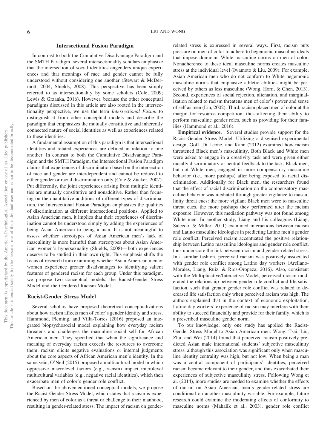#### **Intersectional Fusion Paradigm**

In contrast to both the Cumulative Disadvantage Paradigm and the SMTH Paradigm, several intersectionality scholars emphasize that the intersection of social identities engenders unique experiences and that meanings of race and gender cannot be fully understood without considering one another (Stewart & McDermott, 2004; Shields, 2008). This perspective has been simply referred to as intersectionality by some scholars (Cole, 2009; Lewis & Grzanka, 2016). However, because the other conceptual paradigms discussed in this article are also rooted in the intersectionality perspective, we use the term *Intersectional Fusion* to distinguish it from other conceptual models and describe the paradigm that emphasizes the mutually constitutive and inherently connected nature of social identities as well as experiences related to these identities.

A fundamental assumption of this paradigm is that intersectional identities and related experiences are defined in relation to one another. In contrast to both the Cumulative Disadvantage Paradigm and the SMTH Paradigm, the Intersectional Fusion Paradigm claims that experiences of discrimination based on the intersection of race and gender are interdependent and cannot be reduced to either gender or racial discrimination only (Cole & Zucker, 2007). Put differently, the joint experiences arising from multiple identities are mutually constitutive and nonadditive. Rather than focusing on the quantitative additions of different types of discrimination, the Intersectional Fusion Paradigm emphasizes the qualities of discrimination at different intersectional positions. Applied to Asian American men, it implies that their experiences of discrimination cannot be understood simply by adding the experiences of being Asian American to being a man. It is not meaningful to assess whether stereotypes of Asian American men's lack of masculinity is more harmful than stereotypes about Asian American women's hypersexuality (Shields, 2008)— both experiences deserve to be studied in their own right. This emphasis shifts the focus of research from examining whether Asian American men or women experience greater disadvantages to identifying salient features of gendered racism for each group. Under this paradigm, we propose two conceptual models: the Racist-Gender Stress Model and the Gendered Racism Model.

#### **Racist-Gender Stress Model**

Several scholars have proposed theoretical conceptualizations about how racism affects men of color's gender identity and stress. Hammond, Fleming, and Villa-Torres (2016) proposed an integrated biopsychosocial model explaining how everyday racism threatens and challenges the masculine social self for African American men. They specified that when the significance and meaning of everyday racism exceeds the resources to overcome them, racism elicits negative evaluations or internal judgments about the core aspects of African American men's identity. In the same vein, O'Neil (2015) proposed a multicultural model in which oppressive macrolevel factors (e.g., racism) impact microlevel multicultural variables (e.g., negative racial identities), which then exacerbate men of color's gender role conflict.

Based on the abovementioned conceptual models, we propose the Racist-Gender Stress Model, which states that racism is experienced by men of color as a threat or challenge to their manhood, resulting in gender-related stress. The impact of racism on genderrelated stress is expressed in several ways. First, racism puts pressure on men of color to adhere to hegemonic masculine ideals that impose dominant White masculine norms on men of color. Nonadherence to these ideal masculine norms creates masculine stress at the individual level (Iwamoto & Liu, 2009). For example, Asian American men who do not conform to White hegemonic masculine norms that emphasize athletic abilities might be perceived by others as less masculine (Wong, Horn, & Chen, 2013). Second, experiences of social rejection, alienation, and marginalization related to racism threatens men of color's power and sense of self as men (Liu, 2002). Third, racism placed men of color at the margin for resource competition, thus affecting their ability to perform masculine gender roles, such as providing for their families (Hammond et al., 2016).

**Empirical evidence.** Several studies provide support for the Racist-Gender Stress Model. Utilizing a disguised experimental design, Goff, Di Leone, and Kahn (2012) examined how racism threatened Black men's masculinity. Both Black and White men were asked to engage in a creativity task and were given either racially discriminatory or neutral feedback to the task. Black men, but not White men, engaged in more compensatory masculine behavior (i.e., more pushups) after being exposed to racial discrimination. Additionally for Black men, the researchers found that the effect of racial discrimination on the compensatory masculine behavior was mediated through greater vigilance to masculinity threat cues: the more vigilant Black men were to masculine threat cues, the more pushups they performed after the racism exposure. However, this mediation pathway was not found among White men. In another study, Liang and his colleagues (Liang, Salcedo, & Miller, 2011) examined interactions between racism and Latino masculine ideologies in predicting Latino men's gender role conflict. Perceived racism accentuated the positive relationship between Latino masculine ideologies and gender role conflict, thus underscore the link between racism and gender-related stress. In a similar fashion, perceived racism was positively associated with gender role conflict among Latino day workers (Arellano-Morales, Liang, Ruiz, & Rios-Oropeza, 2016). Also, consistent with the Multiplicative/Interactive Model, perceived racism moderated the relationship between gender role conflict and life satisfaction, such that greater gender role conflict was related to decreased life satisfaction only when perceived racism was high. The authors explained that in the context of economic exploitation, Latino day workers' experience of racism may interfere with their ability to succeed financially and provide for their family, which is a prescribed masculine gender norm.

To our knowledge, only one study has applied the Racist-Gender Stress Model to Asian American men. Wong, Tsai, Liu, Zhu, and Wei (2014) found that perceived racism positively predicted Asian male international students' subjective masculinity stress, although this association was significant only when masculine identity centrality was high, but not low. When being a man was a central component of participants' identities, perceived racism became relevant to their gender, and thus exacerbated their experiences of subjective masculinity stress. Following Wong et al. (2014), more studies are needed to examine whether the effects of racism on Asian American men's gender-related stress are conditional on another masculinity variable. For example, future research could examine the moderating effects of conformity to masculine norms (Mahalik et al., 2003), gender role conflict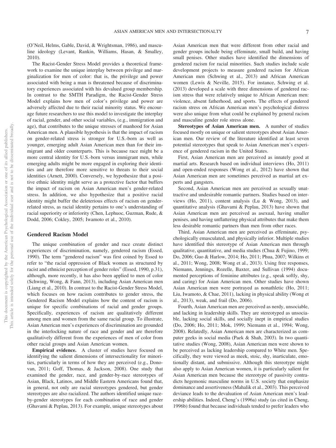(O'Neil, Helms, Gable, David, & Wrightsman, 1986), and masculine ideology (Levant, Rankin, Williams, Hasan, & Smalley, 2010).

The Racist-Gender Stress Model provides a theoretical framework to examine the unique interplay between privilege and marginalization for men of color: that is, the privilege and power associated with being a man is threatened because of discriminatory experiences associated with his devalued group membership. In contrast to the SMTH Paradigm, the Racist-Gender Stress Model explains how men of color's privilege and power are adversely affected due to their racial minority status. We encourage future researchers to use this model to investigate the interplay of racial, gender, and other social variables, (e.g., immigration and age), that contributes to the unique stresses of manhood for Asian American men. A plausible hypothesis is that the impact of racism on gender-related stress is stronger for U.S.-born as well as younger, emerging adult Asian American men than for their immigrant and older counterparts. This is because race might be a more central identity for U.S.-born versus immigrant men, while emerging adults might be more engaged in exploring their identities and are therefore more sensitive to threats to their social identities (Arnett, 2000). Conversely, we hypothesize that a positive ethnic identity might serve as a protective factor that buffers the impact of racism on Asian American men's gender-related stress. In addition, we also hypothesize that a positive racial identity might buffer the deleterious effects of racism on genderrelated stress, as racial identity pertains to one's understanding of racial superiority or inferiority (Chen, Lephuoc, Guzman, Rude, & Dodd, 2006; Cokley, 2005; Iwamoto et al., 2010).

#### **Gendered Racism Model**

The unique combination of gender and race create distinct experiences of discrimination, namely, gendered racism (Essed, 1990). The term "gendered racism" was first coined by Essed to refer to "the racial oppression of Black women as structured by racist and ethnicist perception of gender roles" (Essed, 1990, p.31), although, more recently, it has also been applied to men of color (Schwing, Wong, & Fann, 2013), including Asian American men (Liang et al., 2010). In contrast to the Racist-Gender Stress Model, which focuses on how racism contributes to gender stress, the Gendered Racism Model explains how the content of racism is unique for specific combinations of racial and gender groups. Specifically, experiences of racism are qualitatively different among men and women from the same racial group. To illustrate, Asian American men's experiences of discrimination are grounded in the interlocking nature of race and gender and are therefore qualitatively different from the experiences of men of color from other racial groups and Asian American women.

**Empirical evidence.** A cluster of studies have focused on identifying the salient dimensions of intersectionality for minorities, particularly in terms of how they are perceived (e.g., Donovan, 2011; Goff, Thomas, & Jackson, 2008). One study that examined the gender, race, and gender-by-race stereotypes of Asian, Black, Latinos, and Middle Eastern Americans found that, in general, not only are racial stereotypes gendered, but gender stereotypes are also racialized. The authors identified unique raceby-gender stereotypes for each combination of race and gender (Ghavami & Peplau, 2013). For example, unique stereotypes about

Asian American men that were different from other racial and gender groups include being effeminate, small build, and having small penises. Other studies have identified the dimensions of gendered racism for racial minorities. Such studies include scale development projects to measure gendered racism for African American men (Schwing et al., 2013) and African American women (Lewis & Neville, 2015). For instance, Schwing et al. (2013) developed a scale with three dimensions of gendered racism stress that were relatively unique to African American men: violence, absent fatherhood, and sports. The effects of gendered racism stress on African American men's psychological distress were also unique from what could be explained by general racism and masculine gender role stress alone.

**Stereotypes of Asian American men.** A number of studies focused mostly on unique or salient stereotypes about Asian American men. Our review of the literature identified at least seven potential stereotypes that speak to Asian American men's experience of gendered racism in the United States.

First, Asian American men are perceived as innately good at martial arts. Research based on individual interviews (Ho, 2011) and open-ended responses (Wong et al., 2012) have shown that Asian American men are sometimes perceived as martial art experts and gangsters.

Second, Asian American men are perceived as sexually unattractive and undesirable romantic partners. Studies based on interviews (Ho, 2011), content analysis (Lu & Wong, 2013), and quantitative analysis (Ghavami & Peplau, 2013) have shown that Asian American men are perceived as asexual, having smaller penises, and having unflattering physical attributes that make them less desirable romantic partners than men from other races.

Third, Asian American men are perceived as effeminate, psychologically emasculated, and physically inferior. Multiple studies have identified this stereotype of Asian American men through qualitative, quantitative, and media studies (Chua & Fujino, 1999; Do, 2006; Guo & Harlow, 2014; Ho, 2011; Phua, 2007; Wilkins et al., 2011; Wong, 2008; Wong et al., 2013). Using free responses, Niemann, Jennings, Rozelle, Baxter, and Sullivan (1994) documented perceptions of feminine attributes (e.g., speak softly, shy, and caring) for Asian American men. Other studies have shown Asian American men were portrayed as nonathletic (Ho, 2011; Liu, Iwamoto, & Chae, 2011), lacking in physical ability (Wong et al., 2013), weak, and frail (Do, 2006).

Fourth, Asian American men are perceived as nerdy, unsociable, and lacking in leadership skills. They are stereotyped as unsociable, lacking social skills, and socially inept in empirical studies (Do, 2006; Ho, 2011; Mok, 1999; Niemann et al., 1994; Wong, 2008). Relatedly, Asian American men are characterized as computer geeks in social media (Paek & Shah, 2003). In two quantitative studies (Wong, 2008), Asian American men were shown to be perceived as lacking leadership compared to White men. Specifically, they were viewed as meek, stoic, shy, inarticulate, emotionally distant, and submissive. Although this stereotype might also apply to Asian American women, it is particularly salient for Asian American men because the stereotype of passivity contradicts hegemonic masculine norms in U.S. society that emphasize dominance and assertiveness (Mahalik et al., 2003). This perceived deviance leads to the devaluation of Asian American men's leadership abilities. Indeed, Cheng's (1996a) study (as cited in Cheng, 1996b) found that because individuals tended to prefer leaders who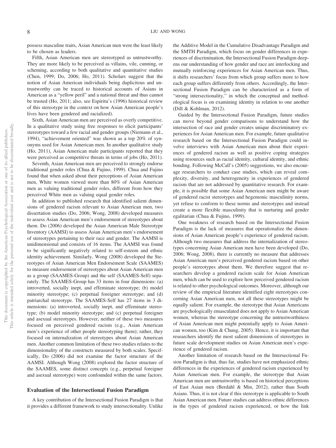possess masculine traits, Asian American men were the least likely to be chosen as leaders.

Fifth, Asian American men are stereotyped as untrustworthy. They are more likely to be perceived as villains, vile, cunning, or scheming, according to both qualitative and quantitative studies (Chen, 1999; Do, 2006; Ho, 2011). Scholars suggest that the notion of Asian American individuals being duplicitous and untrustworthy can be traced to historical accounts of Asians in American as a "yellow peril" and a national threat and thus cannot be trusted (Ho, 2011; also, see Espiritu's (1996) historical review of this stereotype in the context on how Asian American people's lives have been gendered and racialized).

Sixth, Asian American men are perceived as overly competitive. In a qualitative study using free responses to elicit participants' stereotypes toward a few racial and gender groups (Niemann et al., 1994), "achievement oriented" was shown as a top 20% of synonyms used for Asian American men. In another qualitative study (Ho, 2011), Asian American male participants reported that they were perceived as competitive threats in terms of jobs (Ho, 2011).

Seventh, Asian American men are perceived to strongly endorse traditional gender roles (Chua & Fujino, 1999). Chua and Fujino found that when asked about their perceptions of Asian American men, White women viewed more than 80% of Asian American men as valuing traditional gender roles, different from how they perceived White men as valuing equal gender roles.

In addition to published research that identified salient dimensions of gendered racism relevant to Asian American men, two dissertation studies (Do, 2006; Wong, 2008) developed measures to assess Asian American men's endorsement of stereotypes about them. Do (2006) developed the Asian American Male Stereotype Inventory (AAMSI) to assess Asian American men's endorsement of stereotypes pertaining to their race and gender. The AAMSI is unidimensional and consists of 16 items. The AAMSI was found to be significantly negatively related to self-esteem and ethnic identity achievement. Similarly, Wong (2008) developed the Stereotypes of Asian American Men Endorsement Scale (SAAMES) to measure endorsement of stereotypes about Asian American men as a group (SAAMES-Group) and the self (SAAMES-Self) separately. The SAAMES-Group has 33 items in four dimensions: (a) introverted, socially inept, and effeminate stereotype; (b) model minority stereotype; (c) perpetual foreigner stereotype; and (d) patriarchal stereotype. The SAAMES-Self has 27 items in 3 dimensions: (a) introverted, socially inept, and effeminate stereotype; (b) model minority stereotype; and (c) perpetual foreigner and asexual stereotypes. However, neither of these two measures focused on perceived gendered racism (e.g., Asian American men's experience of other people stereotyping them); rather, they focused on internalization of stereotypes about Asian American men. Another common limitation of these two studies relates to the dimensionality of the constructs measured by both scales. Specifically, Do (2006) did not examine the factor structure of the AAMSI. Although Wong (2008) explored the factor structure of the SAAMES, some distinct concepts (e.g., perpetual foreigner and asexual stereotype) were confounded within the same factors.

#### **Evaluation of the Intersectional Fusion Paradigm**

A key contribution of the Intersectional Fusion Paradigm is that it provides a different framework to study intersectionality. Unlike the Additive Model in the Cumulative Disadvantage Paradigm and the SMTH Paradigm, which focus on gender differences in experiences of discrimination, the Intersectional Fusion Paradigm deepens our understanding of how gender and race are interlocking and mutually reinforcing experiences for Asian American men. Thus, it shifts researchers' focus from which group suffers more to how each group suffers differently from others. Accordingly, the Intersectional Fusion Paradigm can be characterized as a form of "strong intersectionality," in which the conceptual and methodological focus is on examining identity in relation to one another (Dill & Kohlman, 2012).

Guided by the Intersectional Fusion Paradigm, future studies can move beyond gender comparisons to understand how the intersection of race and gender creates unique discriminatory experiences for Asian American men. For example, future qualitative research based on the Intersectional Fusion Paradigm could involve interviews with Asian American men about their experiences of gendered racism as well as positive coping strategies using resources such as racial identity, cultural identity, and ethnic bonding. Following McCall's (2005) suggestions, we also encourage researchers to conduct case studies, which can reveal complexity, diversity, and heterogeneity in experiences of gendered racism that are not addressed by quantitative research. For example, it is possible that some Asian American men might be aware of gendered racist stereotypes and hegemonic masculinity norms, yet refuse to conform to these norms and stereotypes and instead create a more flexible masculinity that is nurturing and gender egalitarian (Chua & Fujino, 1999).

One weakness of research based on the Intersectional Fusion Paradigm is the lack of measures that operationalize the dimensions of Asian American people's experience of gendered racism. Although two measures that address the internalization of stereotypes concerning Asian American men have been developed (Do, 2006; Wong, 2008), there is currently no measure that addresses Asian American men's perceived gendered racism based on other people's stereotypes about them. We therefore suggest that researchers develop a gendered racism scale for Asian American men, which can be used to explore how perceived gendered racism is related to other psychological outcomes. Moreover, although our review of the empirical literature identified eight stereotypes concerning Asian American men, not all these stereotypes might be equally salient. For example, the stereotype that Asian Americans are psychologically emasculated does not apply to Asian American women, whereas the stereotype concerning the untrustworthiness of Asian American men might potentially apply to Asian American women, too (Kim & Chung, 2005). Hence, it is important that researchers identify the most salient dimensions of stereotypes in future scale development studies on Asian American men's experience of gendered racism.

Another limitation of research based on the Intersectional Fusion Paradigm is that, thus far, studies have not emphasized ethnic differences in the experiences of gendered racism experienced by Asian American men. For example, the stereotype that Asian American men are untrustworthy is based on historical perceptions of East Asian men (Berdahl & Min, 2012), rather than South Asians. Thus, it is not clear if this stereotype is applicable to South Asian American men. Future studies can address ethnic differences in the types of gendered racism experienced, or how the link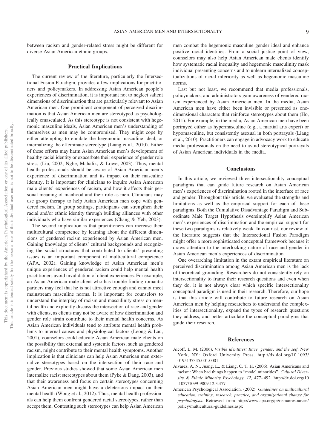between racism and gender-related stress might be different for diverse Asian American ethnic groups.

#### **Practical Implications**

The current review of the literature, particularly the Intersectional Fusion Paradigm, provides a few implications for practitioners and policymakers. In addressing Asian American people's experiences of discrimination, it is important not to neglect salient dimensions of discrimination that are particularly relevant to Asian American men. One prominent component of perceived discrimination is that Asian American men are stereotyped as psychologically emasculated. As this stereotype is not consistent with hegemonic masculine ideals, Asian American men's understanding of themselves as men may be compromised. They might cope by either attempting to emulate the hegemonic masculine ideal, or internalizing the effeminate stereotype (Liang et al., 2010). Either of these efforts may harm Asian American men's development of healthy racial identity or exacerbate their experience of gender role stress (Liu, 2002; Nghe, Mahalik, & Lowe, 2003). Thus, mental health professionals should be aware of Asian American men's experience of discrimination and its impact on their masculine identity. It is important for clinicians to inquire Asian American male clients' experiences of racism, and how it affects their personal meaning of manhood and their role as men. Clinicians may use group therapy to help Asian American men cope with gendered racism. In group settings, participants can strengthen their racial and/or ethnic identity through building alliances with other individuals who have similar experiences (Chang & Yeh, 2003).

The second implication is that practitioners can increase their multicultural competence by learning about the different dimensions of gendered racism experienced by Asian American men. Gaining knowledge of clients' cultural backgrounds and recognizing the social structures that contributed to clients' presenting issues is an important component of multicultural competence (APA, 2002). Gaining knowledge of Asian American men's unique experiences of gendered racism could help mental health practitioners avoid invalidation of client experiences. For example, an Asian American male client who has trouble finding romantic partners may feel that he is not attractive enough and cannot meet mainstream masculine norms. It is important for counselors to understand the interplay of racism and masculinity stress on mental health and explicitly discuss the intersection of race and gender with clients, as clients may not be aware of how discrimination and gender role strain contribute to their mental health concerns. As Asian American individuals tend to attribute mental health problems to internal causes and physiological factors (Leong & Lau, 2001), counselors could educate Asian American male clients on the possibility that external and systemic factors, such as gendered racism, might contribute to their mental health symptoms. Another implication is that clinicians can help Asian American men externalize stereotypes based on the intersection of their race and gender. Previous studies showed that some Asian American men internalize racist stereotypes about them (Pyke & Dang, 2003), and that their awareness and focus on certain stereotypes concerning Asian American men might have a deleterious impact on their mental health (Wong et al., 2012). Thus, mental health professionals can help them confront gendered racial stereotypes, rather than accept them. Contesting such stereotypes can help Asian American

men combat the hegemonic masculine gender ideal and enhance positive racial identities. From a social justice point of view, counselors may also help Asian American male clients identify how systematic racial inequality and hegemonic masculinity mask individual presenting concerns and to unlearn internalized conceptualizations of racial inferiority as well as hegemonic masculine norms.

Last but not least, we recommend that media professionals, policymakers, and administrators gain awareness of gendered racism experienced by Asian American men. In the media, Asian American men have either been invisible or presented as onedimensional characters that reinforce stereotypes about them (Ho, 2011). For example, in the media, Asian American men have been portrayed either as hypermasculine (e.g., a martial arts expert) or hypomasculine, but consistently asexual in both portrayals (Liang et al., 2010). Practitioners can engage in advocacy work to educate media professionals on the need to avoid stereotypical portrayals of Asian American individuals in the media.

#### **Conclusions**

In this article, we reviewed three intersectionality conceptual paradigms that can guide future research on Asian American men's experiences of discrimination rooted in the interface of race and gender. Throughout this article, we evaluated the strengths and limitations as well as the empirical support for each of these paradigms. Both the Cumulative Disadvantage Paradigm and Subordinate Male Target Hypothesis oversimplify Asian American men's experiences of discrimination and the empirical support for these two paradigms is relatively weak. In contrast, our review of the literature suggests that the Intersectional Fusion Paradigm might offer a more sophisticated conceptual framework because it draws attention to the interlocking nature of race and gender in Asian American men's experiences of discrimination.

One overarching limitation in the extant empirical literature on perceived discrimination among Asian American men is the lack of theoretical grounding. Researchers do not consistently rely on intersectionality to frame their research questions and even when they do, it is not always clear which specific intersectionality conceptual paradigm is used in their research. Therefore, our hope is that this article will contribute to future research on Asian American men by helping researchers to understand the complexities of intersectionality, expand the types of research questions they address, and better articulate the conceptual paradigms that guide their research.

#### **References**

- Alcoff, L. M. (2006). *Visible identities: Race, gender, and the self*. New York, NY: Oxford University Press. http://dx.doi.org/10.1093/ 0195137345.001.0001
- Alvarez, A. N., Juang, L., & Liang, C. T. H. (2006). Asian Americans and racism: When bad things happen to "model minorities". *Cultural Diversity & Ethnic Minority Psychology, 12,* 477– 492. http://dx.doi.org/10 .1037/1099-9809.12.3.477
- American Psychological Association. (2002). *Guidelines on multicultural education, training, research, practice, and organizational change for psychologists*. Retrieved from http://www.apa.org/pi/oema/resources/ policy/multicultural-guidelines.aspx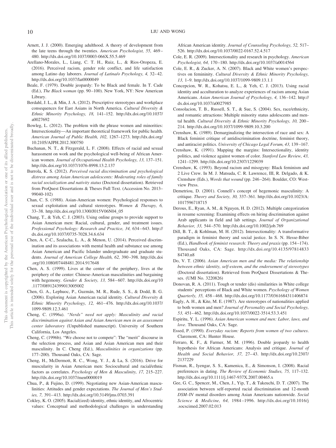- Arnett, J. J. (2000). Emerging adulthood. A theory of development from the late teens through the twenties. *American Psychologist, 55,* 469 – 480. http://dx.doi.org/10.1037/0003-066X.55.5.469
- Arellano-Morales, L., Liang, C. T. H., Ruiz, L., & Rios-Oropeza, E. (2016). Perceived racism, gender role conflict, and life satisfaction among Latino day laborers. *Journal of Latina/o Psychology, 4,* 32– 42. http://dx.doi.org/10.1037/lat0000049
- Beale, F. (1979). Double jeopardy: To be Black and female. In T. Cade (Ed.), *The Black woman* (pp. 90 –100). New York, NY: New American Library.
- Berdahl, J. L., & Min, J. A. (2012). Prescriptive stereotypes and workplace consequences for East Asians in North America. *Cultural Diversity & Ethnic Minority Psychology, 18,* 141–152. http://dx.doi.org/10.1037/ a0027692
- Bowleg, L. (2012). The problem with the phrase women and minorities: Intersectionality—An important theoretical framework for public health. *American Journal of Public Health, 102,* 1267–1273. http://dx.doi.org/ 10.2105/AJPH.2012.300750
- Buchanan, N. T., & Fitzgerald, L. F. (2008). Effects of racial and sexual harassment on work and the psychological well-being of African American women. *Journal of Occupational Health Psychology, 13,* 137–151. http://dx.doi.org/10.1037/1076-8998.13.2.137
- Burrola, K. S. (2012). *Perceived racial discrimination and psychological distress among Asian American adolescents: Moderating roles of family racial socialization and nativity status* (Doctoral dissertation). Retrieved from ProQuest Dissertations & Theses Full Text. (Accession No. 2013– 99040-102)
- Chan, C. S. (1988). Asian-American women: Psychological responses to sexual exploitation and cultural stereotypes. *Women & Therapy, 6,* 33–38. http://dx.doi.org/10.1300/J015V06N04\_05
- Chang, T., & Yeh, C. J. (2003). Using online groups to provide support to Asian American men: Racial, cultural, gender, and treatment issues. *Professional Psychology: Research and Practice, 34,* 634 – 643. http:// dx.doi.org/10.1037/0735-7028.34.6.634
- Chen, A. C-C., Szalacha, L. A., & Menon, U. (2014). Perceived discrimination and its associations with mental health and substance use among Asian American and Pacific Islander undergraduate and graduate students. *Journal of American College Health, 62,* 390 –398. http://dx.doi .org/10.1080/07448481.2014.917648
- Chen, A. S. (1999). Lives at the center of the periphery, lives at the periphery of the center: Chinese-American masculinities and bargaining with hegemony. *Gender & Society, 13,* 584 – 607. http://dx.doi.org/10 .1177/089124399013005002
- Chen, G. A., Lephuoc, P., Guzmán, M. R., Rude, S. S., & Dodd, B. G. (2006). Exploring Asian American racial identity. *Cultural Diversity & Ethnic Minority Psychology, 12,* 461– 476. http://dx.doi.org/10.1037/ 1099-9809.12.3.461
- Cheng, C. (1996a). *"Nerds" need not apply: Masculinity and racial discrimination against Asian and Asian American men in an assessment center laboratory* (Unpublished manuscript). University of Southern California, Los Angeles.
- Cheng, C. (1996b). "We choose not to compete": The "merit" discourse in the selection process, and Asian and Asian American men and their masculinity. In C. Cheng (Ed.), *Masculinities in organizations* (pp. 177–200). Thousand Oaks, CA: Sage.
- Cheng, H., McDermott, R. C., Wong, Y. J., & La, S. (2016). Drive for muscularity in Asian American men: Sociocultural and racial/ethnic factors as correlates. *Psychology of Men & Masculinity, 17,* 215–227. http://dx.doi.org/10.1037/men0000019
- Chua, P., & Fujino, D. (1999). Negotiating new Asian-American masculinities: Attitudes and gender expectations. *The Journal of Men's Studies, 7,* 391– 413. http://dx.doi.org/10.3149/jms.0703.391
- Cokley, K. O. (2005). Racial(ized) identity, ethnic identity, and Afrocentric values: Conceptual and methodological challenges in understanding

African American identity. *Journal of Counseling Psychology, 52,* 517– 526. http://dx.doi.org/10.1037/0022-0167.52.4.517

- Cole, E. R. (2009). Intersectionality and research in psychology. *American Psychologist, 64,* 170 –180. http://dx.doi.org/10.1037/a0014564
- Cole, E. R., & Zucker, A. N. (2007). Black and White women's perspectives on femininity. *Cultural Diversity & Ethnic Minority Psychology, 13,* 1–9. http://dx.doi.org/10.1037/1099-9809.13.1.1
- Concepcion, W. R., Kohatsu, E. L., & Yeh, C. J. (2013). Using racial identity and acculturation to analyze experiences of racism among Asian Americans. *Asian American Journal of Psychology, 4,* 136 –142. http:// dx.doi.org/10.1037/a0027985
- Consolacion, T. B., Russell, S. T., & Sue, S. (2004). Sex, race/ethnicity, and romantic attractions: Multiple minority status adolescents and mental health. *Cultural Diversity & Ethnic Minority Psychology, 10,* 200 – 214. http://dx.doi.org/10.1037/1099-9809.10.3.200
- Crenshaw, K. (1989). Demarginalizing the intersection of race and sex: A Black feminist critique of antidiscrimination doctrine, feminist theory, and antiracist politics. *University of Chicago Legal Forum, 43,* 139 –167.
- Crenshaw, K. (1991). Mapping the margins: Intersectionality, identity politics, and violence against women of color. *Stanford Law Review, 43,* 1241–1299. http://dx.doi.org/10.2307/1229039
- Crenshaw, K. (1993). Beyond racism and misogyny: Black feminism and 2 Live Crew. In M. J. Matsuda, C. R. Lawrence, III, R. Delgado, & K. Crenshaw (Eds.), *Words that wound* (pp. 246 –264). Boulder, CO: Westview Press.
- Demetriou, D. (2001). Connell's concept of hegemonic masculinity: A critique. *Theory and Society, 30,* 337–361. http://dx.doi.org/10.1023/A: 1017596718715
- Derous, E., Ryan, A. M., & Nguyen, H. D. (2012). Multiple categorization in resume screening: Examining effects on hiring discrimination against Arab applicants in field and lab settings. *Journal of Organizational Behavior, 33,* 544 –570. http://dx.doi.org/10.1002/job.769
- Dill, B. T., & Kohlman, M. H. (2012). Intersectionality: A transformative paradigm in feminist theory and social justice. In S. N. Hesse-Biber (Ed.), *Handbook of feminist research: Theory and praxis* (pp. 154 –174). Thousand Oaks, CA: Sage. http://dx.doi.org/10.4135/97814833 84740.n8
- Do, V. T. (2006). *Asian American men and the media: The relationship between ethnic identity, self-esteem, and the endorsement of stereotypes* (Doctoral dissertation). Retrieved from ProQuest Dissertations & Theses. (UMI No. 3220826)
- Donovan, R. A. (2011). Tough or tender (dis) similarities in White college students' perceptions of Black and White women. *Psychology of Women Quarterly, 35,* 458 – 468. http://dx.doi.org/10.1177/0361684311406874
- Eagly, A. H., & Kite, M. E. (1987). Are stereotypes of nationalities applied to both women and men? *Journal of Personality and Social Psychology, 53,* 451– 462. http://dx.doi.org/10.1037/0022-3514.53.3.451
- Espiritu, Y. L. (1996). *Asian American women and men: Labor, laws, and love*. Thousand Oaks, CA: Sage.
- Essed, P. (1990). *Everyday racism: Reports from women of two cultures*. Claremont, CA: Hunter House.
- Ferraro, K. F., & Farmer, M. M. (1996). Double jeopardy to health hypothesis for African Americans: Analysis and critique. *Journal of Health and Social Behavior, 37,* 27– 43. http://dx.doi.org/10.2307/ 2137229
- Fisman, R., Iyengar, S. S., Kamenica, E., & Simonson, I. (2008). Racial preferences in dating. *The Review of Economic Studies, 75,* 117–132. http://dx.doi.org/10.1111/j.1467-937X.2007.00465.x
- Gee, G. C., Spencer, M., Chen, J., Yip, T., & Takeuchi, D. T. (2007). The association between self-reported racial discrimination and 12-month *DSM*–IV mental disorders among Asian Americans nationwide. *Social Science & Medicine, 64,* 1984 –1996. http://dx.doi.org/10.1016/j .socscimed.2007.02.013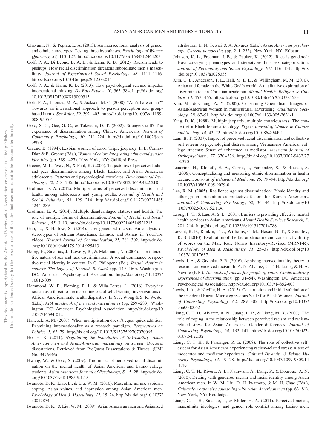- Ghavami, N., & Peplau, L. A. (2013). An intersectional analysis of gender and ethnic stereotypes: Testing three hypotheses. *Psychology of Women Quarterly, 37,* 113–127. http://dx.doi.org/10.1177/0361684312464203
- Goff, P. A., Di Leone, B. A. L., & Kahn, K. B. (2012). Racism leads to pushups: How racial discrimination threatens subordinate men's masculinity. *Journal of Experimental Social Psychology, 48,* 1111–1116. http://dx.doi.org/10.1016/j.jesp.2012.03.015
- Goff, P. A., & Kahn, K. B. (2013). How psychological science impedes intersectional thinking. *Du Bois Review, 10,* 365–384. http://dx.doi.org/ 10.1017/0S1742058X13000313
- Goff, P. A., Thomas, M. A., & Jackson, M. C. (2008). "Ain't I a woman?" Towards an intersectional approach to person perception and groupbased harms. *Sex Roles, 59,* 392– 403. http://dx.doi.org/10.1007/s11199- 008-9505-4
- Goto, S. G., Gee, G. C., & Takeuchi, D. T. (2002). Strangers still? The experience of discrimination among Chinese Americans. *Journal of Community Psychology, 30,* 211–224. http://dx.doi.org/10.1002/jcop .9998
- Greene, B. (1994). Lesbian women of color: Triple jeopardy. In L. Comas-Diaz & B. Greene (Eds.), *Women of color: Integrating ethnic and gender identities* (pp. 389–427). New York, NY: Guilford Press.
- Greene, M. L., Way, N., & Pahl, K. (2006). Trajectories of perceived adult and peer discrimination among Black, Latino, and Asian American adolescents: Patterns and psychological correlates. *Developmental Psychology, 42,* 218 –236. http://dx.doi.org/10.1037/0012-1649.42.2.218
- Grollman, E. A. (2012). Multiple forms of perceived discrimination and health among adolescents and young adults. *Journal of Health and Social Behavior, 53,* 199 –214. http://dx.doi.org/10.1177/00221465 12444289
- Grollman, E. A. (2014). Multiple disadvantaged statuses and health: The role of multiple forms of discrimination. *Journal of Health and Social Behavior, 55,* 3–19. http://dx.doi.org/10.1177/0022146514521215
- Guo, L., & Harlow, S. (2014). User-generated racism: An analysis of stereotypes of African Americans, Latinos, and Asians in YouTube videos. *Howard Journal of Communication, 25,* 281–302. http://dx.doi .org/10.1080/10646175.2014.925413
- Haley, H., Sidanius, J., Lowery, B., & Malamuth, N. (2004). The interactive nature of sex and race discrimination: A social dominance perspective racial identity in context. In G. Philogene (Ed.), *Racial identity in context: The legacy of Kenneth B. Clark* (pp. 149 –160). Washington, DC: American Psychological Association. http://dx.doi.org/10.1037/ 10812-009
- Hammond, W. P., Fleming, P. J., & Villa-Torres, L. (2016). Everyday racism as a threat to the masculine social self: Framing investigations of African American male health disparities. In Y. J. Wong & S. R. Wester (Eds.), *APA handbook of men and masculinities* (pp. 259 –283). Washington, DC: American Psychological Association. http://dx.doi.org/10 .1037/14594-012
- Hancock, A. M. (2007). When multiplication doesn't equal quick addition: Examining intersectionality as a research paradigm. *Perspectives on Politics, 5,* 63–79. http://dx.doi.org/10.1017/S1537592707070065
- Ho, H. K. (2011). *Negotiating the boundaries of (in)visibility: Asian American men and Asian/American masculinity on screen* (Doctoral dissertation). Retrieved from ProQuest Dissertations & Theses. (UMI No. 3476446)
- Hwang, W., & Goto, S. (2009). The impact of perceived racial discrimination on the mental health of Asian American and Latino college students. *Asian American Journal of Psychology, S,* 15–28. http://dx.doi .org/10.1037/1948-1985.S.1.15
- Iwamoto, D. K., Liao, L., & Liu, W. M. (2010). Masculine norms, avoidant coping, Asian values, and depression among Asian American men. *Psychology of Men & Masculinity, 11,* 15–24. http://dx.doi.org/10.1037/ a0017874
- Iwamoto, D. K., & Liu, W. M. (2009). Asian American men and Asianized

attribution. In N. Tewari & A. Alvarez (Eds.), *Asian American psychology: Current perspective* (pp. 211–232). New York, NY: Erlbaum.

- Johnson, K. L., Freeman, J. B., & Pauker, K. (2012). Race is gendered: How covarying phenotypes and stereotypes bias sex categorization. *Journal of Personality and Social Psychology, 102,* 116 –131. http://dx .doi.org/10.1037/a0025335
- Kim, C. L., Anderson, T. L., Hall, M. E. L., & Willingham, M. M. (2010). Asian and female in the White God's world: A qualitative exploration of discrimination in Christian academia. *Mental Health, Religion & Culture, 13,* 453– 465. http://dx.doi.org/10.1080/13674670903384533
- Kim, M., & Chung, A. Y. (2005). Consuming Orientalism: Images of Asian/American women in multicultural advertising. *Qualitative Sociology, 28,* 67–91. http://dx.doi.org/10.1007/s11133-005-2631-1
- King, D. K. (1988). Multiple jeopardy, multiple consciousness: The context of a Black feminist ideology. *Signs: Journal of Women in Culture and Society, 14,* 42–72. http://dx.doi.org/10.1086/494491
- Lam, B. T. (2007). Impact of perceived racial discrimination and collective self-esteem on psychological distress among Vietnamese-American college students: Sense of coherence as mediator. *American Journal of Orthopsychiatry, 77,* 370 –376. http://dx.doi.org/10.1037/0002-9432.77 .3.370
- Landrine, H., Klonoff, E. A., Corral, I., Fernandez, S., & Roesch, S. (2006). Conceptualizing and measuring ethnic discrimination in health research. *Journal of Behavioral Medicine, 29,* 79 –94. http://dx.doi.org/ 10.1007/s10865-005-9029-0
- Lee, R. M. (2005). Resilience against discrimination: Ethnic identity and other-group orientation as protective factors for Korean Americans. *Journal of Counseling Psychology, 52,* 36 – 44. http://dx.doi.org/10 .1037/0022-0167.52.1.36
- Leong, F. T., & Lau, A. S. L. (2001). Barriers to providing effective mental health services to Asian Americans. *Mental Health Services Research, 3,* 201–214. http://dx.doi.org/10.1023/A:1013177014788
- Levant, R. F., Rankin, T. J., Williams, C. M., Hasan, N. T., & Smalley, K. B. (2010). Evaluation of the factor structure and construct validity of scores on the Male Role Norms Inventory–Revised (MRNI-R). *Psychology of Men & Masculinity, 11,* 25–37. http://dx.doi.org/10 .1037/a0017637
- Lewis, J. A., & Grzanka, P. R. (2016). Applying intersectionality theory to research on perceived racism. In A. N. Alvarez, C. T. H. Liang, & H. A. Neville (Eds.), *The costs of racism for people of color: Contextualizing experiences of discrimination* (pp. 31–54). Washington, DC: American Psychological Association. http://dx.doi.org/10.1037/14852-003
- Lewis, J. A., & Neville, H. A. (2015). Construction and initial validation of the Gendered Racial Microaggressions Scale for Black Women. *Journal of Counseling Psychology, 62,* 289 –302. http://dx.doi.org/10.1037/ cou0000062
- Liang, C. T. H., Alvarez, A. N., Juang, L. P., & Liang, M. X. (2007). The role of coping in the relationship between perceived racism and racismrelated stress for Asian Americans: Gender differences. *Journal of Counseling Psychology, 54,* 132–141. http://dx.doi.org/10.1037/0022- 0167.54.2.132
- Liang, C. T. H., & Fassinger, R. E. (2008). The role of collective selfesteem for Asian Americans experiencing racism-related stress: A test of moderator and mediator hypotheses. *Cultural Diversity & Ethnic Minority Psychology, 14,* 19 –28. http://dx.doi.org/10.1037/1099-9809.14 .1.19
- Liang, C. T. H., Rivera, A. L., Nathwani, A., Dang, P., & Douroux, A. N. (2010). Dealing with gendered racism and racial identity among Asian American men. In W. M. Liu, D. H. Iwamoto, & M. H. Chae (Eds.), *Culturally responsive counseling with Asian American men* (pp. 63– 81). New York, NY: Routledge.
- Liang, C. T. H., Salcedo, J., & Miller, H. A. (2011). Perceived racism, masculinity ideologies, and gender role conflict among Latino men.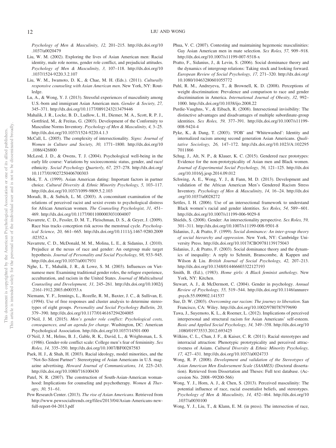*Psychology of Men & Masculinity, 12,* 201–215. http://dx.doi.org/10 .1037/a0020479

- Liu, W. M. (2002). Exploring the lives of Asian American men: Racial identity, male role norms, gender role conflict, and prejudicial attitudes. *Psychology of Men & Masculinity, 3,* 107–118. http://dx.doi.org/10 .1037/1524-9220.3.2.107
- Liu, W. M., Iwamoto, D. K., & Chae, M. H. (Eds.). (2011). *Culturally responsive counseling with Asian American men*. New York, NY: Routledge.
- Lu, A., & Wong, Y. J. (2013). Stressful experiences of masculinity among U.S.-born and immigrant Asian American men. *Gender & Society, 27,* 345–371. http://dx.doi.org/10.1177/0891243213479446
- Mahalik, J. R., Locke, B. D., Ludlow, L. H., Diemer, M. A., Scott, R. P. J., Gottfried, M., & Freitas, G. (2003). Development of the Conformity to Masculine Norms Inventory. *Psychology of Men & Masculinity, 4,* 3–25. http://dx.doi.org/10.1037/1524-9220.4.1.3
- McCall, L. (2005). The complexity of intersectionality. *Signs: Journal of Women in Culture and Society, 30,* 1771–1800. http://dx.doi.org/10 .1086/426800
- McLeod, J. D., & Owens, T. J. (2004). Psychological well-being in the early life course: Variations by socioeconomic status, gender, and race/ ethnicity. *Social Psychology Quarterly, 67,* 257–278. http://dx.doi.org/ 10.1177/019027250406700303
- Mok, T. A. (1999). Asian American dating: Important factors in partner choice. *Cultural Diversity & Ethnic Minority Psychology, 5,* 103–117. http://dx.doi.org/10.1037/1099-9809.5.2.103
- Moradi, B., & Subich, L. M. (2003). A concomitant examination of the relations of perceived racist and sexist events to psychological distress for African American women. *The Counseling Psychologist, 31,* 451– 469. http://dx.doi.org/10.1177/0011000003031004007
- Navarrete, C. D., Fessler, D. M. T., Fleischman, D. S., & Geyer, J. (2009). Race bias tracks conception risk across the menstrual cycle. *Psychological Science, 20,* 661– 665. http://dx.doi.org/10.1111/j.1467-9280.2009 .02352.x
- Navarrete, C. D., McDonald, M. M., Molina, L. E., & Sidanius, J. (2010). Prejudice at the nexus of race and gender: An outgroup male target hypothesis. *Journal of Personality and Social Psychology, 98,* 933–945. http://dx.doi.org/10.1037/a0017931
- Nghe, L. T., Mahalik, J. R., & Lowe, S. M. (2003). Influences on Vietnamese men: Examining traditional gender roles, the refugee experience, acculturation, and racism in the United States. *Journal of Multicultural Counseling and Development, 31,* 245–261. http://dx.doi.org/10.1002/j .2161-1912.2003.tb00353.x
- Niemann, Y. F., Jennings, L., Rozelle, R. M., Baxter, J. C., & Sullivan, E. (1994). Use of free responses and cluster analysis to determine stereotypes of eight groups. *Personality and Social Psychology Bulletin, 20,* 379 –390. http://dx.doi.org/10.1177/0146167294204005
- O'Neil, J. M. (2015). *Men's gender role conflict: Psychological costs, consequences, and an agenda for change*. Washington, DC: American Psychological Association. http://dx.doi.org/10.1037/14501-000
- O'Neil, J. M., Helms, B. J., Gable, R. K., David, L., & Wrightsman, L. S. (1986). Gender-role conflict scale: College men's fear of femininity. *Sex Roles, 14,* 335–350. http://dx.doi.org/10.1007/BF00287583
- Paek, H. J., & Shah, H. (2003). Racial ideology, model minorities, and the "Not-So-Silent Partner": Stereotyping of Asian Americans in U.S. magazine advertising. *Howard Journal of Communications, 14,* 225–243. http://dx.doi.org/10.1080/716100430
- Patel, N. R. (2007). The construction of South-Asian-American womanhood: Implications for counseling and psychotherapy. *Women & Ther*apy, 30, 51-61.
- Pew Research Center. (2013). *The rise of Asian Americans*. Retrieved from http://www.pewsocialtrends.org/files/2013/04/Asian-Americans-newfull-report-04-2013.pdf
- Phua, V. C. (2007). Contesting and maintaining hegemonic masculinities: Gay Asian American men in mate selection. *Sex Roles, 57,* 909 –918. http://dx.doi.org/10.1007/s11199-007-9318-x
- Pratto, F., Sidanius, J., & Levin, S. (2006). Social dominance theory and the dynamics of intergroup relations: Taking stock and looking forward. *European Review of Social Psychology, 17,* 271–320. http://dx.doi.org/ 10.1080/10463280601055772
- Puhl, R. M., Andreyeva, T., & Brownell, K. D. (2008). Perceptions of weight discrimination: Prevalence and comparison to race and gender discrimination in America. *International Journal of Obesity, 32,* 992– 1000. http://dx.doi.org/10.1038/ijo.2008.22
- Purdie-Vaughns, V., & Eibach, R. (2008). Intersectional invisibility: The distinctive advantages and disadvantages of multiple subordinate-group identities. *Sex Roles, 59,* 377–391. http://dx.doi.org/10.1007/s11199- 008-9424-4
- Pyke, K., & Dang, T. (2003). 'FOB' and 'Whitewashed': Identity and internalized racism among second generation Asian Americans. *Qualitative Sociology, 26,* 147–172. http://dx.doi.org/10.1023/A:102295 7011866
- Schug, J., Alt, N. P., & Klauer, K. C. (2015). Gendered race prototypes: Evidence for the non-prototypicality of Asian men and Black women. *Journal of Experimental Social Psychology, 56,* 121–125. http://dx.doi .org/10.1016/j.jesp.2014.09.012
- Schwing, A. E., Wong, Y. J., & Fann, M. D. (2013). Development and validation of the African American Men's Gendered Racism Stress Inventory. *Psychology of Men & Masculinity, 14,* 16 –24. http://dx.doi .org/10.1037/a0028272
- Settles, I. H. (2006). Use of an intersectional framework to understand Black women's racial and gender identities. *Sex Roles, 54, 589-601*. http://dx.doi.org/10.1007/s11199-006-9029-8
- Shields, S. (2008). Gender: An intersectionality perspective. *Sex Roles, 59,* 301–311. http://dx.doi.org/10.1007/s11199-008-9501-8
- Sidanius, J., & Pratto, F. (1999). *Social dominance: An inter-group theory of social hierarchy and oppression*. New York, NY: Cambridge University Press. http://dx.doi.org/10.1017/CBO9781139175043
- Sidanius, J., & Pratto, F. (2003). Social dominance theory and the dynamics of inequality: A reply to Schmitt, Branscombe, & Kappen and Wilson & Liu. *British Journal of Social Psychology, 42,* 207–213. http://dx.doi.org/10.1348/014466603322127193
- Smith, B. (Ed.), (1983). *Home girls: A Black feminist anthology*. New York, NY: Kitchen.
- Stewart, A. J., & McDermott, C. (2004). Gender in psychology. *Annual Review of Psychology, 55,* 519 –544. http://dx.doi.org/10.1146/annurev .psych.55.090902.141537
- Sue, D. W. (2003). *Overcoming our racism: The journey to liberation*. San Francisco, CA: Wiley. http://dx.doi.org/10.1002/9780787979690
- Tawa, J., Suyemoto, K. L., & Roemer, L. (2012). Implications of perceived interpersonal and structural racism for Asian Americans' self-esteem. *Basic and Applied Social Psychology, 34,* 349 –358. http://dx.doi.org/10 .1080/01973533.2012.693425
- Wilkins, C. L., Chan, J. F., & Kaiser, C. R. (2011). Racial stereotypes and interracial attraction: Phenotypic prototypicality and perceived attractiveness of Asians. *Cultural Diversity & Ethnic Minority Psychology, 17,* 427– 431. http://dx.doi.org/10.1037/a0024733
- Wong, R. P. (2008). *Development and validation of the Stereotypes of Asian American Men Endorsement Scale (SAAMES)* (Doctoral dissertation). Retrieved from Dissertation and Theses: Full text database. (Accession No. 2008 –99200-566)
- Wong, Y. J., Horn, A. J., & Chen, S. (2013). Perceived masculinity: The potential influence of race, racial essentialist beliefs, and stereotypes. *Psychology of Men & Masculinity, 14,* 452– 464. http://dx.doi.org/10 .1037/a0030100
- Wong, Y. J., Liu, T., & Klann, E. M. (in press). The intersection of race,